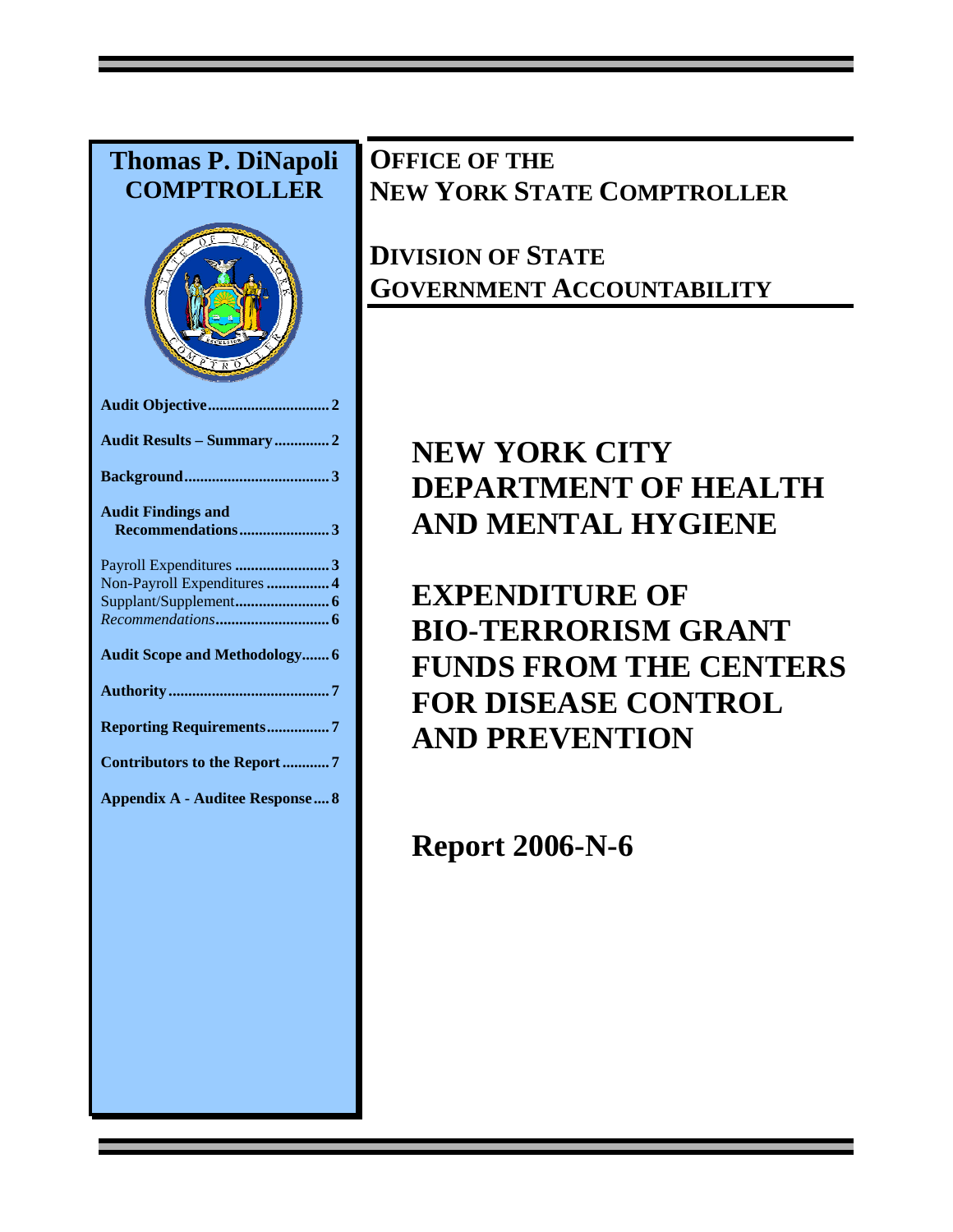# **Thomas P. DiNapoli COMPTROLLER Audit Objective............................... 2 Audit Results – Summary .............. 2 Background..................................... 3 Audit Findings and Recommendations....................... 3**  Payroll Expenditures **........................ 3**  Non-Payroll Expenditures**................ 4**  Supplant/Supplement**........................ 6**  *Recommendations***............................. 6 Audit Scope and Methodology....... 6 Authority ......................................... 7 Reporting Requirements................ 7 Contributors to the Report ............ 7 Appendix A - Auditee Response.... 8**

## **OFFICE OF THE NEW YORK STATE COMPTROLLER**

# **DIVISION OF STATE GOVERNMENT ACCOUNTABILITY**

# **NEW YORK CITY DEPARTMENT OF HEALTH AND MENTAL HYGIENE**

**EXPENDITURE OF BIO-TERRORISM GRANT FUNDS FROM THE CENTERS FOR DISEASE CONTROL AND PREVENTION** 

**Report 2006-N-6**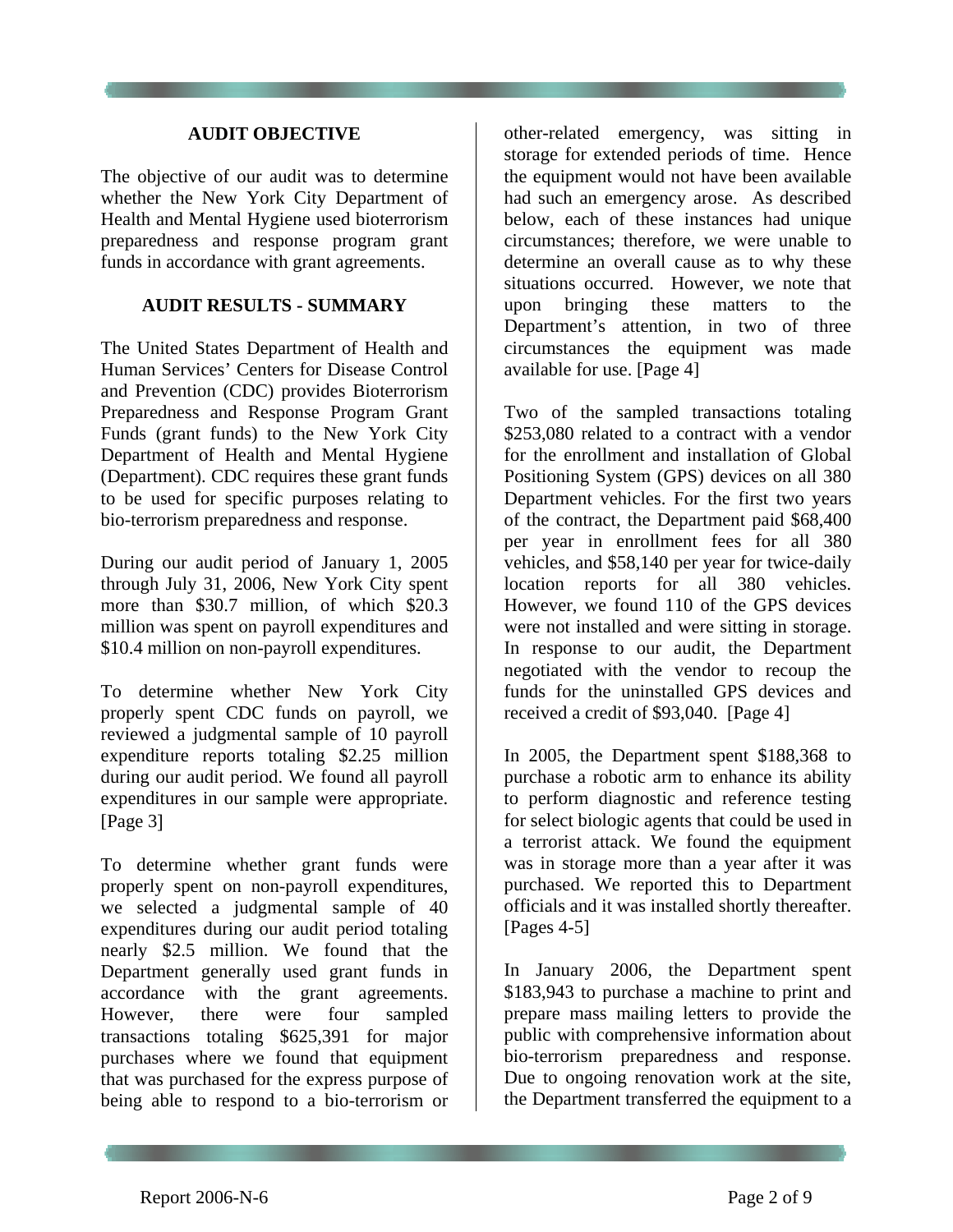#### **AUDIT OBJECTIVE**

The objective of our audit was to determine whether the New York City Department of Health and Mental Hygiene used bioterrorism preparedness and response program grant funds in accordance with grant agreements.

#### **AUDIT RESULTS - SUMMARY**

The United States Department of Health and Human Services' Centers for Disease Control and Prevention (CDC) provides Bioterrorism Preparedness and Response Program Grant Funds (grant funds) to the New York City Department of Health and Mental Hygiene (Department). CDC requires these grant funds to be used for specific purposes relating to bio-terrorism preparedness and response.

During our audit period of January 1, 2005 through July 31, 2006, New York City spent more than \$30.7 million, of which \$20.3 million was spent on payroll expenditures and \$10.4 million on non-payroll expenditures.

To determine whether New York City properly spent CDC funds on payroll, we reviewed a judgmental sample of 10 payroll expenditure reports totaling \$2.25 million during our audit period. We found all payroll expenditures in our sample were appropriate. [Page 3]

To determine whether grant funds were properly spent on non-payroll expenditures, we selected a judgmental sample of 40 expenditures during our audit period totaling nearly \$2.5 million. We found that the Department generally used grant funds in accordance with the grant agreements. However, there were four sampled transactions totaling \$625,391 for major purchases where we found that equipment that was purchased for the express purpose of being able to respond to a bio-terrorism or

other-related emergency, was sitting in storage for extended periods of time. Hence the equipment would not have been available had such an emergency arose. As described below, each of these instances had unique circumstances; therefore, we were unable to determine an overall cause as to why these situations occurred. However, we note that upon bringing these matters to the Department's attention, in two of three circumstances the equipment was made available for use. [Page 4]

Two of the sampled transactions totaling \$253,080 related to a contract with a vendor for the enrollment and installation of Global Positioning System (GPS) devices on all 380 Department vehicles. For the first two years of the contract, the Department paid \$68,400 per year in enrollment fees for all 380 vehicles, and \$58,140 per year for twice-daily location reports for all 380 vehicles. However, we found 110 of the GPS devices were not installed and were sitting in storage. In response to our audit, the Department negotiated with the vendor to recoup the funds for the uninstalled GPS devices and received a credit of \$93,040. [Page 4]

In 2005, the Department spent \$188,368 to purchase a robotic arm to enhance its ability to perform diagnostic and reference testing for select biologic agents that could be used in a terrorist attack. We found the equipment was in storage more than a year after it was purchased. We reported this to Department officials and it was installed shortly thereafter. [Pages [4-](#page-3-0)[5](#page-4-0)]

In January 2006, the Department spent \$183,943 to purchase a machine to print and prepare mass mailing letters to provide the public with comprehensive information about bio-terrorism preparedness and response. Due to ongoing renovation work at the site, the Department transferred the equipment to a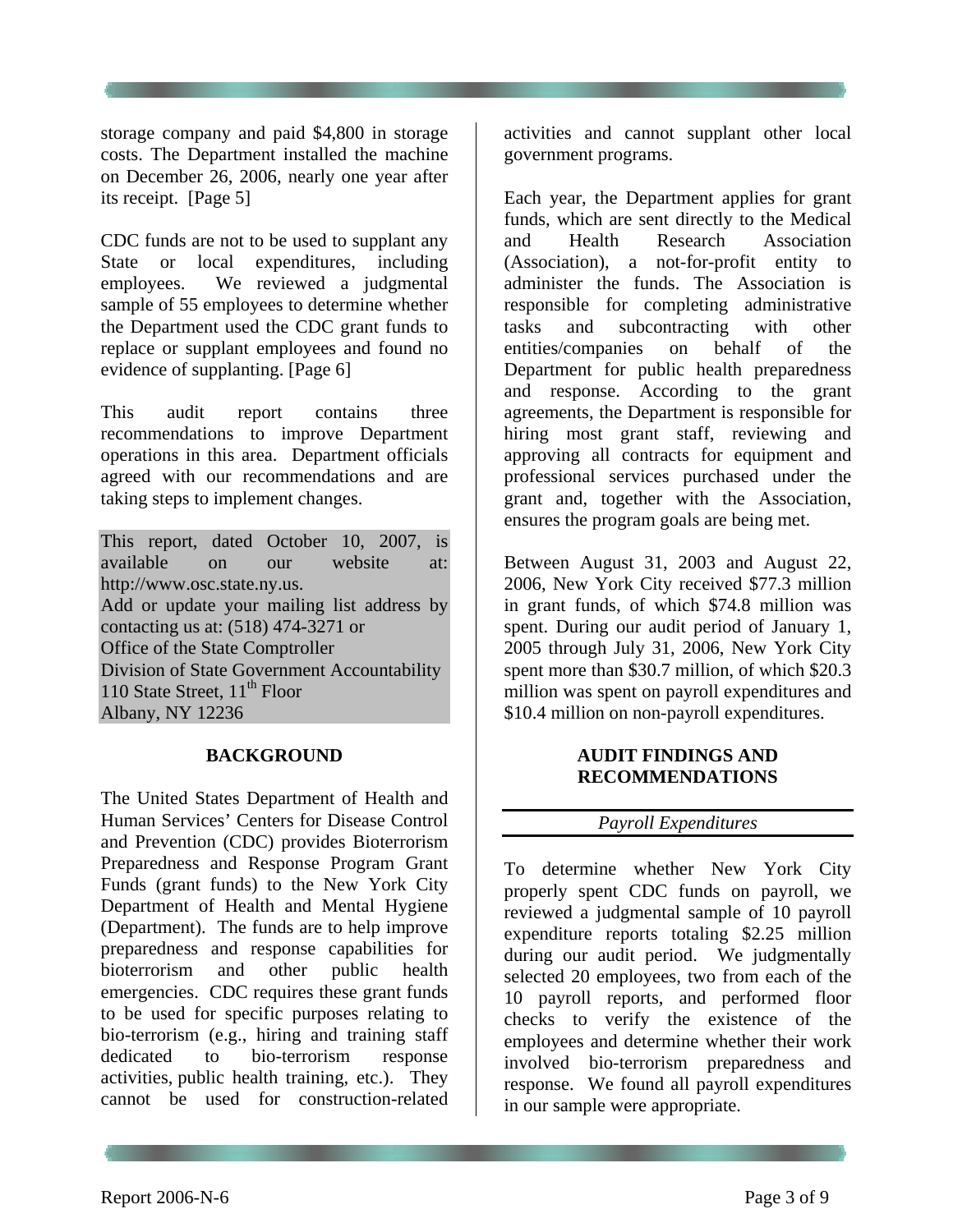storage company and paid \$4,800 in storage costs. The Department installed the machine on December 26, 2006, nearly one year after its receipt. [Page 5]

CDC funds are not to be used to supplant any State or local expenditures, including employees. We reviewed a judgmental sample of 55 employees to determine whether the Department used the CDC grant funds to replace or supplant employees and found no evidence of supplanting. [Page 6]

This audit report contains three recommendations to improve Department operations in this area. Department officials agreed with our recommendations and are taking steps to implement changes.

This report, dated October 10, 2007, is available on our website at: http://www.osc.state.ny.us. Add or update your mailing list address by contacting us at: (518) 474-3271 or Office of the State Comptroller Division of State Government Accountability 110 State Street,  $11<sup>th</sup>$  Floor Albany, NY 12236

#### **BACKGROUND**

The United States Department of Health and Human Services' Centers for Disease Control and Prevention (CDC) provides Bioterrorism Preparedness and Response Program Grant Funds (grant funds) to the New York City Department of Health and Mental Hygiene (Department). The funds are to help improve preparedness and response capabilities for bioterrorism and other public health emergencies. CDC requires these grant funds to be used for specific purposes relating to bio-terrorism (e.g., hiring and training staff dedicated to bio-terrorism response activities, public health training, etc.). They cannot be used for construction-related

activities and cannot supplant other local government programs.

Each year, the Department applies for grant funds, which are sent directly to the Medical and Health Research Association (Association), a not-for-profit entity to administer the funds. The Association is responsible for completing administrative tasks and subcontracting with other entities/companies on behalf of the Department for public health preparedness and response. According to the grant agreements, the Department is responsible for hiring most grant staff, reviewing and approving all contracts for equipment and professional services purchased under the grant and, together with the Association, ensures the program goals are being met.

Between August 31, 2003 and August 22, 2006, New York City received \$77.3 million in grant funds, of which \$74.8 million was spent. During our audit period of January 1, 2005 through July 31, 2006, New York City spent more than \$30.7 million, of which \$20.3 million was spent on payroll expenditures and \$10.4 million on non-payroll expenditures.

### **AUDIT FINDINGS AND RECOMMENDATIONS**

#### *Payroll Expenditures*

To determine whether New York City properly spent CDC funds on payroll, we reviewed a judgmental sample of 10 payroll expenditure reports totaling \$2.25 million during our audit period. We judgmentally selected 20 employees, two from each of the 10 payroll reports, and performed floor checks to verify the existence of the employees and determine whether their work involved bio-terrorism preparedness and response. We found all payroll expenditures in our sample were appropriate.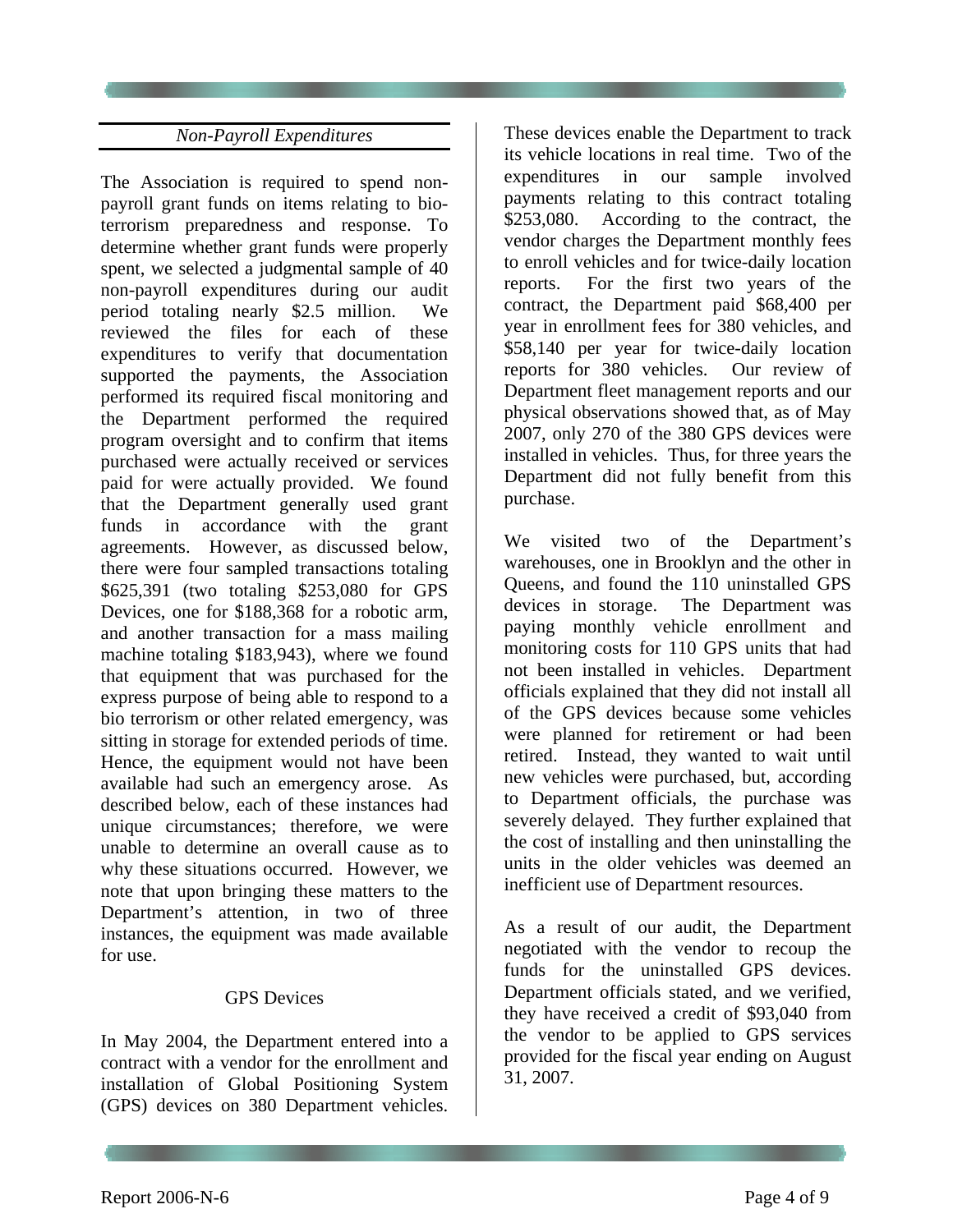### *Non-Payroll Expenditures*

<span id="page-3-0"></span>The Association is required to spend nonpayroll grant funds on items relating to bioterrorism preparedness and response. To determine whether grant funds were properly spent, we selected a judgmental sample of 40 non-payroll expenditures during our audit period totaling nearly \$2.5 million. We reviewed the files for each of these expenditures to verify that documentation supported the payments, the Association performed its required fiscal monitoring and the Department performed the required program oversight and to confirm that items purchased were actually received or services paid for were actually provided. We found that the Department generally used grant funds in accordance with the grant agreements. However, as discussed below, there were four sampled transactions totaling \$625,391 (two totaling \$253,080 for GPS Devices, one for \$188,368 for a robotic arm, and another transaction for a mass mailing machine totaling \$183,943), where we found that equipment that was purchased for the express purpose of being able to respond to a bio terrorism or other related emergency, was sitting in storage for extended periods of time. Hence, the equipment would not have been available had such an emergency arose. As described below, each of these instances had unique circumstances; therefore, we were unable to determine an overall cause as to why these situations occurred. However, we note that upon bringing these matters to the Department's attention, in two of three instances, the equipment was made available for use.

#### GPS Devices

In May 2004, the Department entered into a contract with a vendor for the enrollment and installation of Global Positioning System (GPS) devices on 380 Department vehicles.

These devices enable the Department to track its vehicle locations in real time. Two of the expenditures in our sample involved payments relating to this contract totaling \$253,080. According to the contract, the vendor charges the Department monthly fees to enroll vehicles and for twice-daily location reports. For the first two years of the contract, the Department paid \$68,400 per year in enrollment fees for 380 vehicles, and \$58,140 per year for twice-daily location reports for 380 vehicles. Our review of Department fleet management reports and our physical observations showed that, as of May 2007, only 270 of the 380 GPS devices were installed in vehicles. Thus, for three years the Department did not fully benefit from this purchase.

We visited two of the Department's warehouses, one in Brooklyn and the other in Queens, and found the 110 uninstalled GPS devices in storage. The Department was paying monthly vehicle enrollment and monitoring costs for 110 GPS units that had not been installed in vehicles. Department officials explained that they did not install all of the GPS devices because some vehicles were planned for retirement or had been retired. Instead, they wanted to wait until new vehicles were purchased, but, according to Department officials, the purchase was severely delayed. They further explained that the cost of installing and then uninstalling the units in the older vehicles was deemed an inefficient use of Department resources.

As a result of our audit, the Department negotiated with the vendor to recoup the funds for the uninstalled GPS devices. Department officials stated, and we verified, they have received a credit of \$93,040 from the vendor to be applied to GPS services provided for the fiscal year ending on August 31, 2007.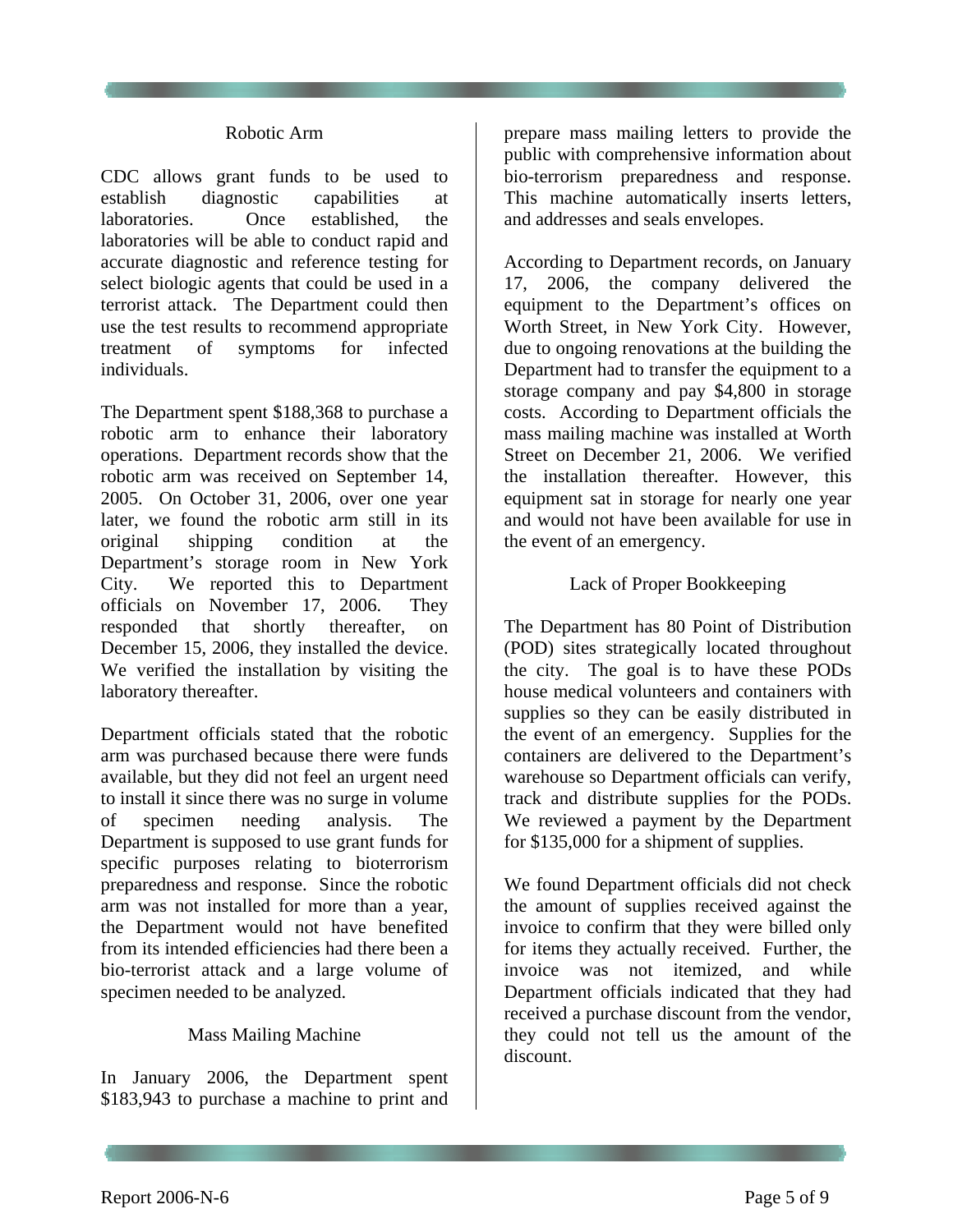#### Robotic Arm

CDC allows grant funds to be used to establish diagnostic capabilities at laboratories. Once established, the laboratories will be able to conduct rapid and accurate diagnostic and reference testing for select biologic agents that could be used in a terrorist attack. The Department could then use the test results to recommend appropriate treatment of symptoms for infected individuals.

The Department spent \$188,368 to purchase a robotic arm to enhance their laboratory operations. Department records show that the robotic arm was received on September 14, 2005. On October 31, 2006, over one year later, we found the robotic arm still in its original shipping condition at the Department's storage room in New York City. We reported this to Department officials on November 17, 2006. They responded that shortly thereafter, on December 15, 2006, they installed the device. We verified the installation by visiting the laboratory thereafter.

<span id="page-4-0"></span>Department officials stated that the robotic arm was purchased because there were funds available, but they did not feel an urgent need to install it since there was no surge in volume of specimen needing analysis. The Department is supposed to use grant funds for specific purposes relating to bioterrorism preparedness and response. Since the robotic arm was not installed for more than a year, the Department would not have benefited from its intended efficiencies had there been a bio-terrorist attack and a large volume of specimen needed to be analyzed.

#### Mass Mailing Machine

In January 2006, the Department spent \$183,943 to purchase a machine to print and

prepare mass mailing letters to provide the public with comprehensive information about bio-terrorism preparedness and response. This machine automatically inserts letters, and addresses and seals envelopes.

According to Department records, on January 17, 2006, the company delivered the equipment to the Department's offices on Worth Street, in New York City. However, due to ongoing renovations at the building the Department had to transfer the equipment to a storage company and pay \$4,800 in storage costs. According to Department officials the mass mailing machine was installed at Worth Street on December 21, 2006. We verified the installation thereafter. However, this equipment sat in storage for nearly one year and would not have been available for use in the event of an emergency.

#### Lack of Proper Bookkeeping

The Department has 80 Point of Distribution (POD) sites strategically located throughout the city. The goal is to have these PODs house medical volunteers and containers with supplies so they can be easily distributed in the event of an emergency. Supplies for the containers are delivered to the Department's warehouse so Department officials can verify, track and distribute supplies for the PODs. We reviewed a payment by the Department for \$135,000 for a shipment of supplies.

We found Department officials did not check the amount of supplies received against the invoice to confirm that they were billed only for items they actually received. Further, the invoice was not itemized, and while Department officials indicated that they had received a purchase discount from the vendor, they could not tell us the amount of the discount.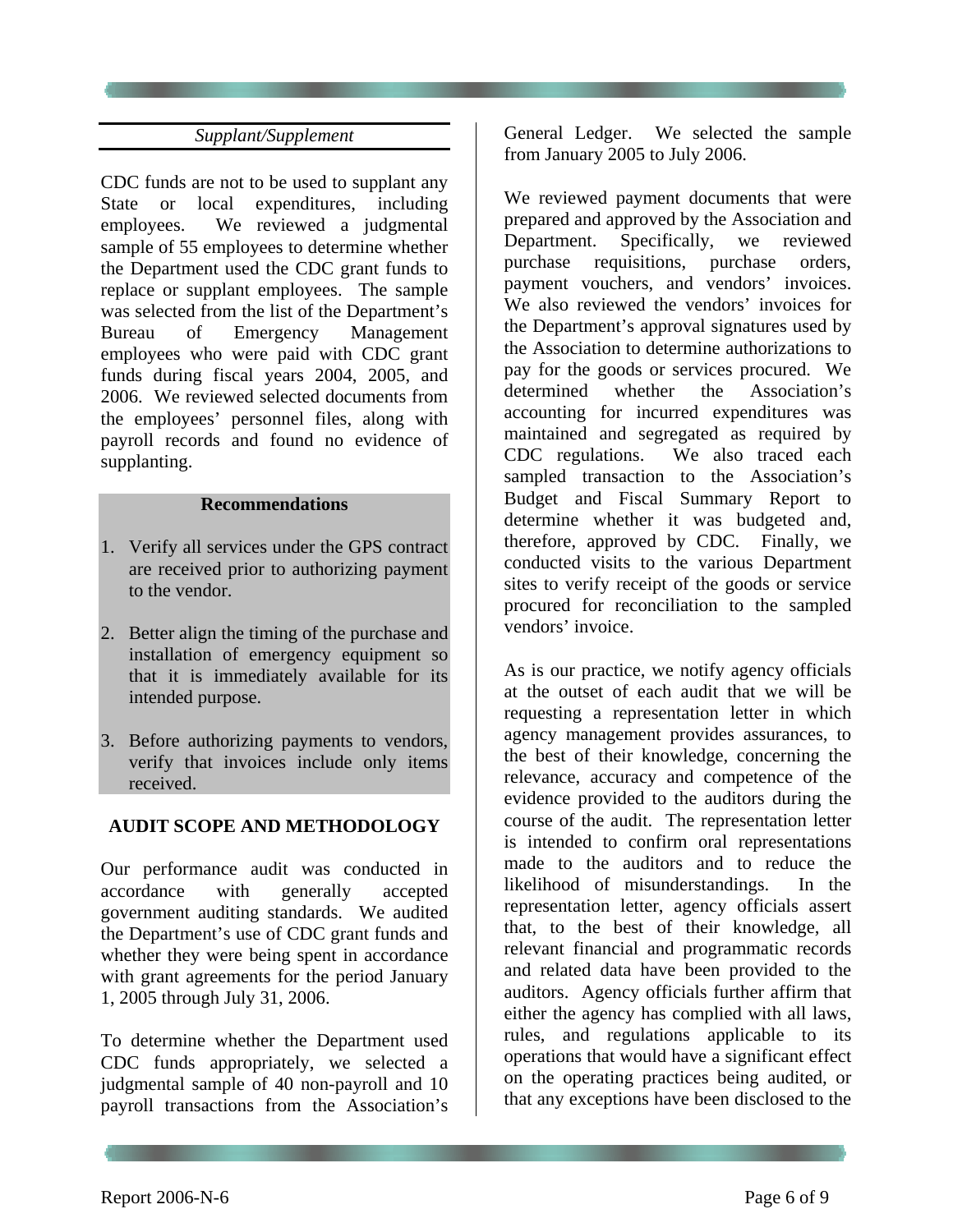### *Supplant/Supplement*

CDC funds are not to be used to supplant any State or local expenditures, including employees. We reviewed a judgmental sample of 55 employees to determine whether the Department used the CDC grant funds to replace or supplant employees. The sample was selected from the list of the Department's Bureau of Emergency Management employees who were paid with CDC grant funds during fiscal years 2004, 2005, and 2006. We reviewed selected documents from the employees' personnel files, along with payroll records and found no evidence of supplanting.

#### **Recommendations**

- 1. Verify all services under the GPS contract are received prior to authorizing payment to the vendor.
- 2. Better align the timing of the purchase and installation of emergency equipment so that it is immediately available for its intended purpose.
- 3. Before authorizing payments to vendors, verify that invoices include only items received.

### **AUDIT SCOPE AND METHODOLOGY**

Our performance audit was conducted in accordance with generally accepted government auditing standards. We audited the Department's use of CDC grant funds and whether they were being spent in accordance with grant agreements for the period January 1, 2005 through July 31, 2006.

To determine whether the Department used CDC funds appropriately, we selected a judgmental sample of 40 non-payroll and 10 payroll transactions from the Association's

General Ledger. We selected the sample from January 2005 to July 2006.

We reviewed payment documents that were prepared and approved by the Association and Department. Specifically, we reviewed purchase requisitions, purchase orders, payment vouchers, and vendors' invoices. We also reviewed the vendors' invoices for the Department's approval signatures used by the Association to determine authorizations to pay for the goods or services procured. We determined whether the Association's accounting for incurred expenditures was maintained and segregated as required by CDC regulations. We also traced each sampled transaction to the Association's Budget and Fiscal Summary Report to determine whether it was budgeted and, therefore, approved by CDC. Finally, we conducted visits to the various Department sites to verify receipt of the goods or service procured for reconciliation to the sampled vendors' invoice.

As is our practice, we notify agency officials at the outset of each audit that we will be requesting a representation letter in which agency management provides assurances, to the best of their knowledge, concerning the relevance, accuracy and competence of the evidence provided to the auditors during the course of the audit. The representation letter is intended to confirm oral representations made to the auditors and to reduce the likelihood of misunderstandings. In the representation letter, agency officials assert that, to the best of their knowledge, all relevant financial and programmatic records and related data have been provided to the auditors. Agency officials further affirm that either the agency has complied with all laws, rules, and regulations applicable to its operations that would have a significant effect on the operating practices being audited, or that any exceptions have been disclosed to the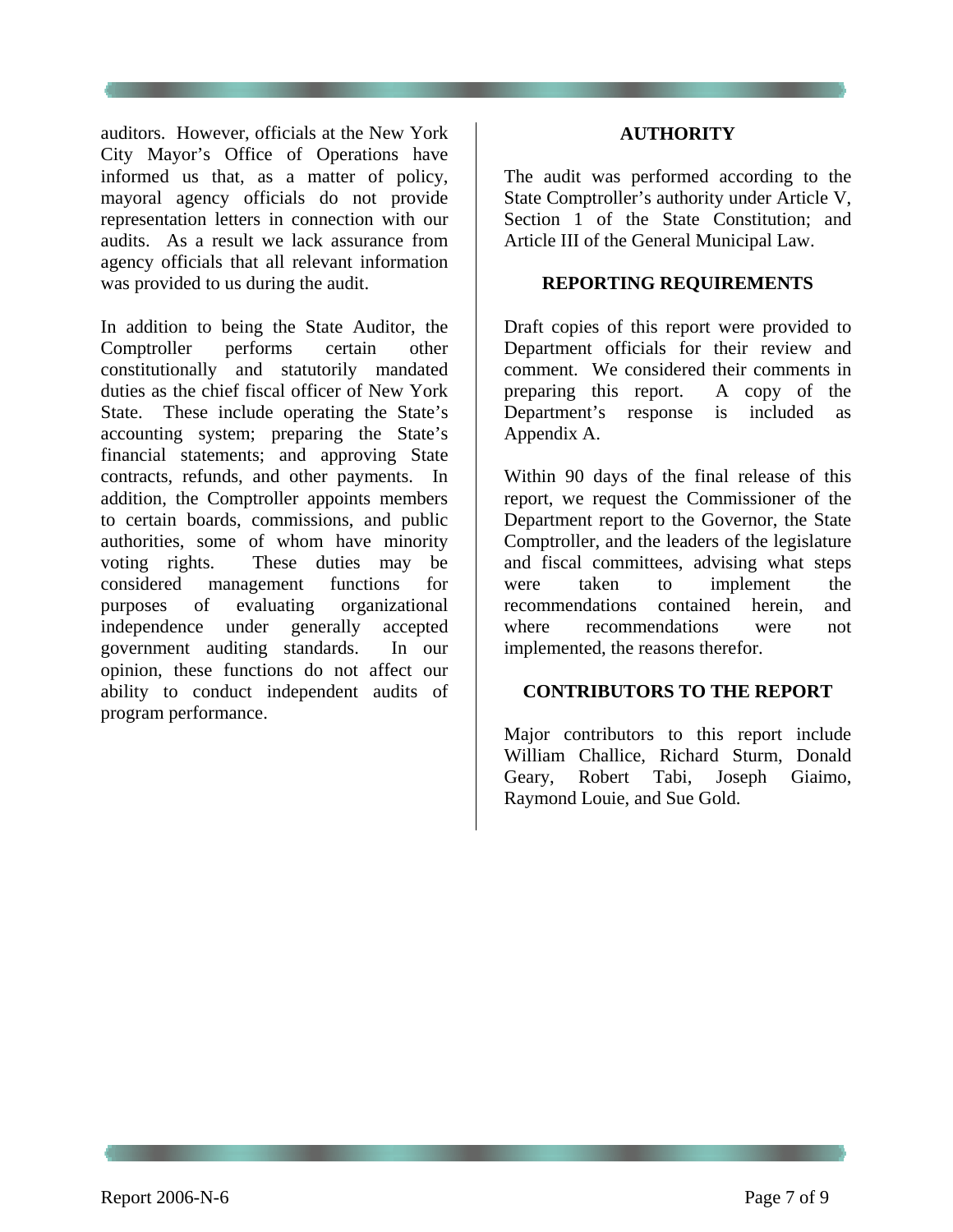auditors. However, officials at the New York City Mayor's Office of Operations have informed us that, as a matter of policy, mayoral agency officials do not provide representation letters in connection with our audits. As a result we lack assurance from agency officials that all relevant information was provided to us during the audit.

In addition to being the State Auditor, the Comptroller performs certain other constitutionally and statutorily mandated duties as the chief fiscal officer of New York State. These include operating the State's accounting system; preparing the State's financial statements; and approving State contracts, refunds, and other payments. In addition, the Comptroller appoints members to certain boards, commissions, and public authorities, some of whom have minority voting rights. These duties may be considered management functions for purposes of evaluating organizational independence under generally accepted government auditing standards. In our opinion, these functions do not affect our ability to conduct independent audits of program performance.

#### **AUTHORITY**

The audit was performed according to the State Comptroller's authority under Article V, Section 1 of the State Constitution; and Article III of the General Municipal Law.

#### **REPORTING REQUIREMENTS**

Draft copies of this report were provided to Department officials for their review and comment. We considered their comments in preparing this report. A copy of the Department's response is included as Appendix A.

Within 90 days of the final release of this report, we request the Commissioner of the Department report to the Governor, the State Comptroller, and the leaders of the legislature and fiscal committees, advising what steps were taken to implement the recommendations contained herein, and where recommendations were not implemented, the reasons therefor.

#### **CONTRIBUTORS TO THE REPORT**

Major contributors to this report include William Challice, Richard Sturm, Donald Geary, Robert Tabi, Joseph Giaimo, Raymond Louie, and Sue Gold.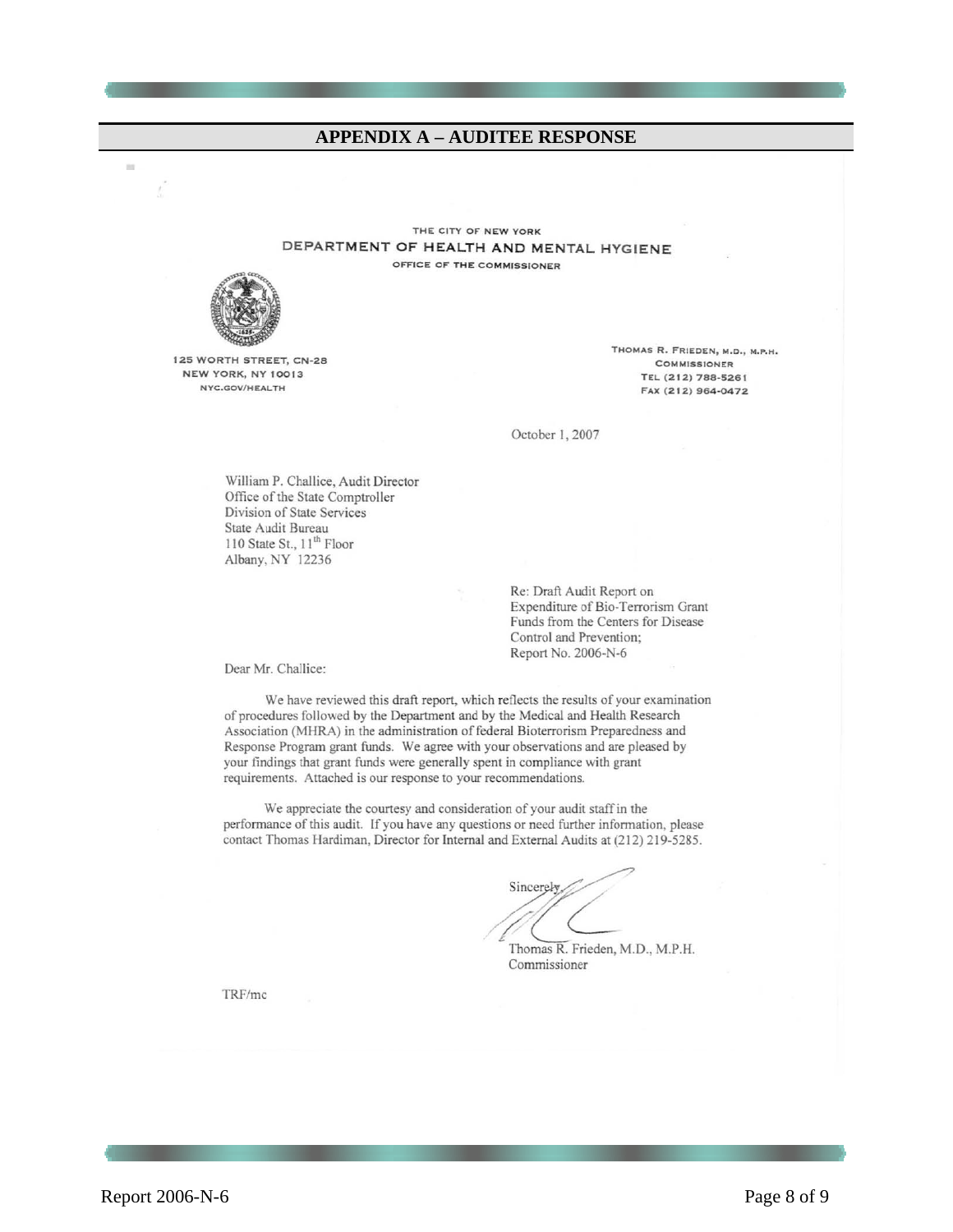#### **APPENDIX A - AUDITEE RESPONSE**

THE CITY OF NEW YORK DEPARTMENT OF HEALTH AND MENTAL HYGIENE OFFICE OF THE COMMISSIONER



 $\mathbb{R}^n$ 

125 WORTH STREET, CN-28 NEW YORK, NY 10013 NYC.GOV/HEALTH

THOMAS R. FRIEDEN, M.D., M.P.H. **COMMISSIONER** TEL (212) 788-5261 FAX (212) 964-0472

October 1, 2007

William P. Challice, Audit Director Office of the State Comptroller Division of State Services State Audit Bureau 110 State St., 11<sup>th</sup> Floor Albany, NY 12236

> Re: Draft Audit Report on Expenditure of Bio-Terrorism Grant Funds from the Centers for Disease Control and Prevention; Report No. 2006-N-6

Dear Mr. Challice:

We have reviewed this draft report, which reflects the results of your examination of procedures followed by the Department and by the Medical and Health Research Association (MHRA) in the administration of federal Bioterrorism Preparedness and Response Program grant funds. We agree with your observations and are pleased by your findings that grant funds were generally spent in compliance with grant requirements. Attached is our response to your recommendations.

We appreciate the courtesy and consideration of your audit staff in the performance of this audit. If you have any questions or need further information, please contact Thomas Hardiman, Director for Internal and External Audits at (212) 219-5285.

Sincerely

Thomas R. Frieden, M.D., M.P.H. Commissioner

TRF/mc